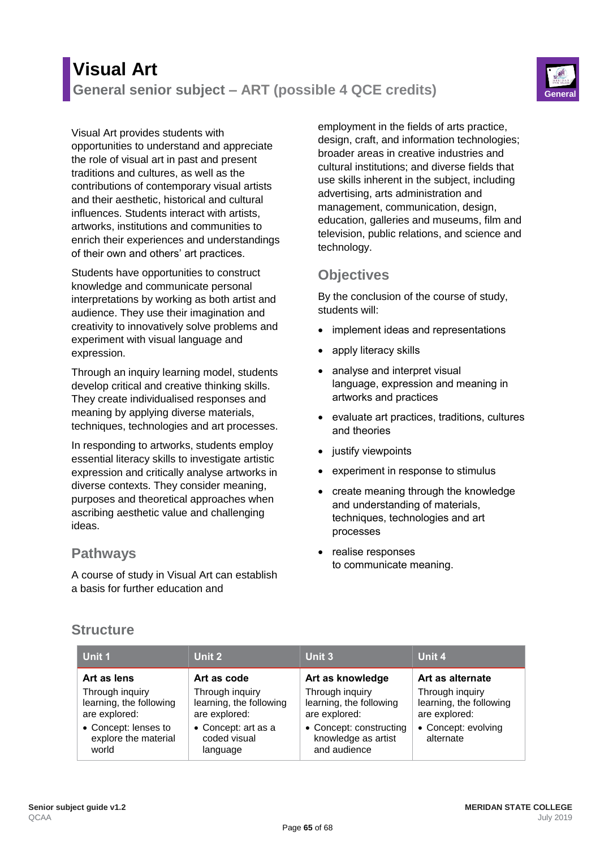# **Visual Art General senior subject – ART (possible 4 QCE credits) General**



#### Visual Art provides students with

opportunities to understand and appreciate the role of visual art in past and present traditions and cultures, as well as the contributions of contemporary visual artists and their aesthetic, historical and cultural influences. Students interact with artists, artworks, institutions and communities to enrich their experiences and understandings of their own and others' art practices.

Students have opportunities to construct knowledge and communicate personal interpretations by working as both artist and audience. They use their imagination and creativity to innovatively solve problems and experiment with visual language and expression.

Through an inquiry learning model, students develop critical and creative thinking skills. They create individualised responses and meaning by applying diverse materials, techniques, technologies and art processes.

In responding to artworks, students employ essential literacy skills to investigate artistic expression and critically analyse artworks in diverse contexts. They consider meaning, purposes and theoretical approaches when ascribing aesthetic value and challenging ideas.

### **Pathways**

A course of study in Visual Art can establish a basis for further education and

employment in the fields of arts practice, design, craft, and information technologies; broader areas in creative industries and cultural institutions; and diverse fields that use skills inherent in the subject, including advertising, arts administration and management, communication, design, education, galleries and museums, film and television, public relations, and science and technology.

# **Objectives**

By the conclusion of the course of study, students will:

- implement ideas and representations
- apply literacy skills
- analyse and interpret visual language, expression and meaning in artworks and practices
- evaluate art practices, traditions, cultures and theories
- justify viewpoints
- experiment in response to stimulus
- create meaning through the knowledge and understanding of materials, techniques, technologies and art processes
- realise responses to communicate meaning.

## **Structure**

| Unit 1                                                      | Unit 2                                                      | Unit 3                                                         | Unit 4                                                      |
|-------------------------------------------------------------|-------------------------------------------------------------|----------------------------------------------------------------|-------------------------------------------------------------|
| Art as lens                                                 | Art as code                                                 | Art as knowledge                                               | Art as alternate                                            |
| Through inquiry<br>learning, the following<br>are explored: | Through inquiry<br>learning, the following<br>are explored: | Through inquiry<br>learning, the following<br>are explored:    | Through inquiry<br>learning, the following<br>are explored: |
| • Concept: lenses to<br>explore the material<br>world       | • Concept: art as a<br>coded visual<br>language             | • Concept: constructing<br>knowledge as artist<br>and audience | • Concept: evolving<br>alternate                            |